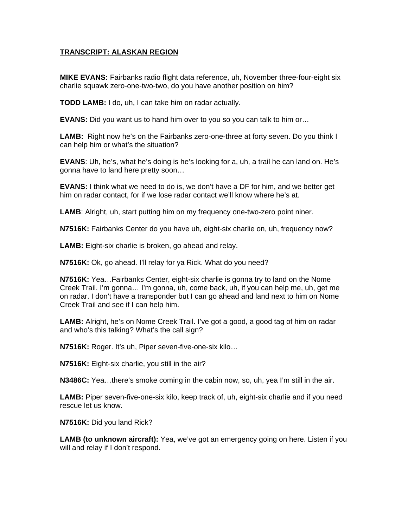## **TRANSCRIPT: ALASKAN REGION**

**MIKE EVANS:** Fairbanks radio flight data reference, uh, November three-four-eight six charlie squawk zero-one-two-two, do you have another position on him?

**TODD LAMB:** I do, uh, I can take him on radar actually.

**EVANS:** Did you want us to hand him over to you so you can talk to him or…

**LAMB:** Right now he's on the Fairbanks zero-one-three at forty seven. Do you think I can help him or what's the situation?

**EVANS**: Uh, he's, what he's doing is he's looking for a, uh, a trail he can land on. He's gonna have to land here pretty soon…

**EVANS:** I think what we need to do is, we don't have a DF for him, and we better get him on radar contact, for if we lose radar contact we'll know where he's at.

**LAMB**: Alright, uh, start putting him on my frequency one-two-zero point niner.

**N7516K:** Fairbanks Center do you have uh, eight-six charlie on, uh, frequency now?

**LAMB:** Eight-six charlie is broken, go ahead and relay.

**N7516K:** Ok, go ahead. I'll relay for ya Rick. What do you need?

**N7516K:** Yea…Fairbanks Center, eight-six charlie is gonna try to land on the Nome Creek Trail. I'm gonna… I'm gonna, uh, come back, uh, if you can help me, uh, get me on radar. I don't have a transponder but I can go ahead and land next to him on Nome Creek Trail and see if I can help him.

**LAMB:** Alright, he's on Nome Creek Trail. I've got a good, a good tag of him on radar and who's this talking? What's the call sign?

**N7516K:** Roger. It's uh, Piper seven-five-one-six kilo…

**N7516K:** Eight-six charlie, you still in the air?

**N3486C:** Yea…there's smoke coming in the cabin now, so, uh, yea I'm still in the air.

**LAMB:** Piper seven-five-one-six kilo, keep track of, uh, eight-six charlie and if you need rescue let us know.

**N7516K:** Did you land Rick?

**LAMB (to unknown aircraft):** Yea, we've got an emergency going on here. Listen if you will and relay if I don't respond.